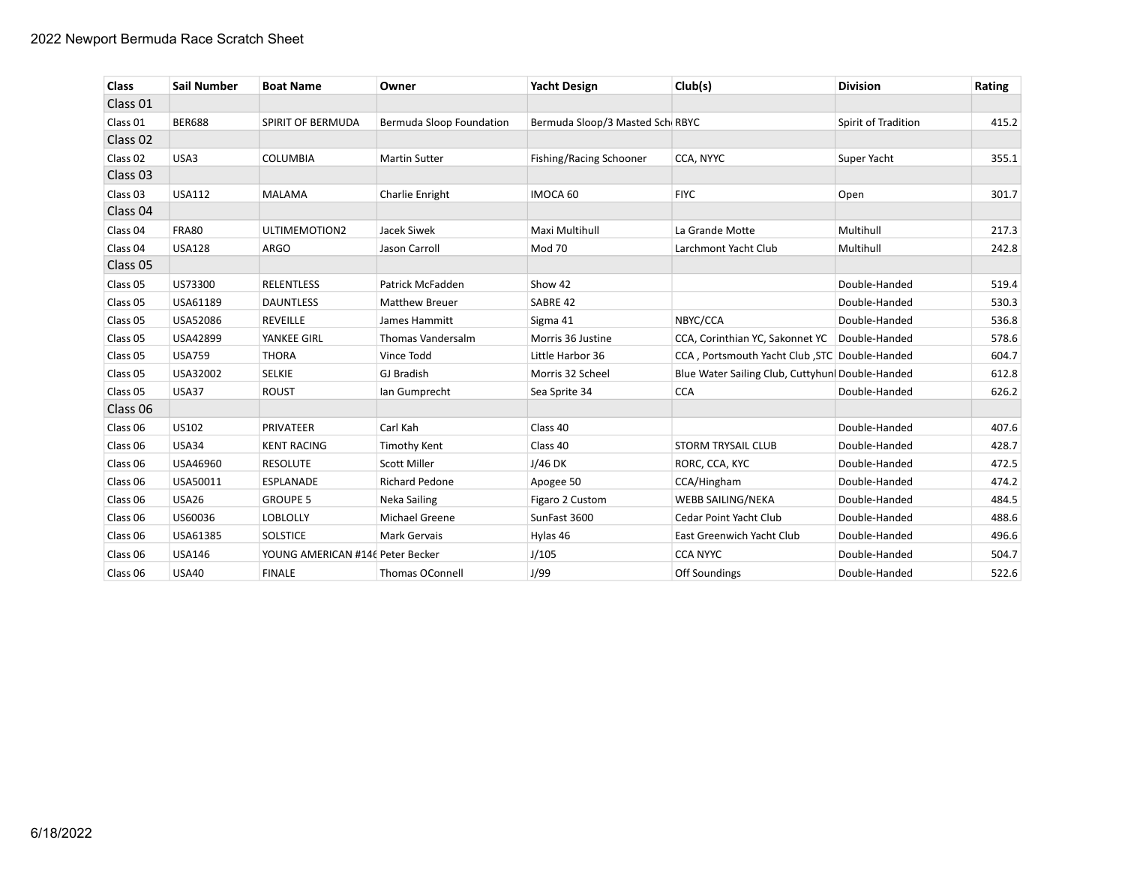| <b>Class</b>        | <b>Sail Number</b> | <b>Boat Name</b>                 | Owner                    | <b>Yacht Design</b>             | Club(s)                                          | <b>Division</b>     | Rating |
|---------------------|--------------------|----------------------------------|--------------------------|---------------------------------|--------------------------------------------------|---------------------|--------|
| Class 01            |                    |                                  |                          |                                 |                                                  |                     |        |
| Class 01            | <b>BER688</b>      | SPIRIT OF BERMUDA                | Bermuda Sloop Foundation | Bermuda Sloop/3 Masted Sch RBYC |                                                  | Spirit of Tradition | 415.2  |
| Class 02            |                    |                                  |                          |                                 |                                                  |                     |        |
| Class 02            | USA3               | <b>COLUMBIA</b>                  | <b>Martin Sutter</b>     | Fishing/Racing Schooner         | CCA, NYYC                                        | Super Yacht         | 355.1  |
| Class <sub>03</sub> |                    |                                  |                          |                                 |                                                  |                     |        |
| Class <sub>03</sub> | <b>USA112</b>      | <b>MALAMA</b>                    | Charlie Enright          | IMOCA 60                        | <b>FIYC</b>                                      | Open                | 301.7  |
| Class 04            |                    |                                  |                          |                                 |                                                  |                     |        |
| Class 04            | <b>FRA80</b>       | ULTIMEMOTION2                    | Jacek Siwek              | Maxi Multihull                  | La Grande Motte                                  | Multihull           | 217.3  |
| Class 04            | <b>USA128</b>      | <b>ARGO</b>                      | Jason Carroll            | Mod 70                          | Larchmont Yacht Club                             | Multihull           | 242.8  |
| Class 05            |                    |                                  |                          |                                 |                                                  |                     |        |
| Class 05            | US73300            | <b>RELENTLESS</b>                | Patrick McFadden         | Show 42                         |                                                  | Double-Handed       | 519.4  |
| Class 05            | USA61189           | <b>DAUNTLESS</b>                 | <b>Matthew Breuer</b>    | SABRE 42                        |                                                  | Double-Handed       | 530.3  |
| Class 05            | USA52086           | <b>REVEILLE</b>                  | James Hammitt            | Sigma 41                        | NBYC/CCA                                         | Double-Handed       | 536.8  |
| Class 05            | USA42899           | YANKEE GIRL                      | Thomas Vandersalm        | Morris 36 Justine               | CCA, Corinthian YC, Sakonnet YC   Double-Handed  |                     | 578.6  |
| Class 05            | <b>USA759</b>      | <b>THORA</b>                     | Vince Todd               | Little Harbor 36                | CCA, Portsmouth Yacht Club, STC Double-Handed    |                     | 604.7  |
| Class 05            | USA32002           | <b>SELKIE</b>                    | <b>GJ Bradish</b>        | Morris 32 Scheel                | Blue Water Sailing Club, Cuttyhun  Double-Handed |                     | 612.8  |
| Class 05            | <b>USA37</b>       | <b>ROUST</b>                     | Ian Gumprecht            | Sea Sprite 34                   | <b>CCA</b>                                       | Double-Handed       | 626.2  |
| Class 06            |                    |                                  |                          |                                 |                                                  |                     |        |
| Class 06            | US102              | PRIVATEER                        | Carl Kah                 | Class 40                        |                                                  | Double-Handed       | 407.6  |
| Class 06            | <b>USA34</b>       | <b>KENT RACING</b>               | <b>Timothy Kent</b>      | Class 40                        | <b>STORM TRYSAIL CLUB</b>                        | Double-Handed       | 428.7  |
| Class 06            | USA46960           | <b>RESOLUTE</b>                  | <b>Scott Miller</b>      | $J/46$ DK                       | RORC, CCA, KYC                                   | Double-Handed       | 472.5  |
| Class 06            | USA50011           | <b>ESPLANADE</b>                 | <b>Richard Pedone</b>    | Apogee 50                       | CCA/Hingham                                      | Double-Handed       | 474.2  |
| Class 06            | <b>USA26</b>       | <b>GROUPE 5</b>                  | Neka Sailing             | Figaro 2 Custom                 | <b>WEBB SAILING/NEKA</b>                         | Double-Handed       | 484.5  |
| Class 06            | US60036            | <b>LOBLOLLY</b>                  | Michael Greene           | SunFast 3600                    | Cedar Point Yacht Club                           | Double-Handed       | 488.6  |
| Class 06            | USA61385           | <b>SOLSTICE</b>                  | Mark Gervais             | Hylas 46                        | East Greenwich Yacht Club                        | Double-Handed       | 496.6  |
| Class 06            | <b>USA146</b>      | YOUNG AMERICAN #146 Peter Becker |                          | J/105                           | <b>CCA NYYC</b>                                  | Double-Handed       | 504.7  |
| Class 06            | <b>USA40</b>       | <b>FINALE</b>                    | Thomas OConnell          | J/99                            | Off Soundings                                    | Double-Handed       | 522.6  |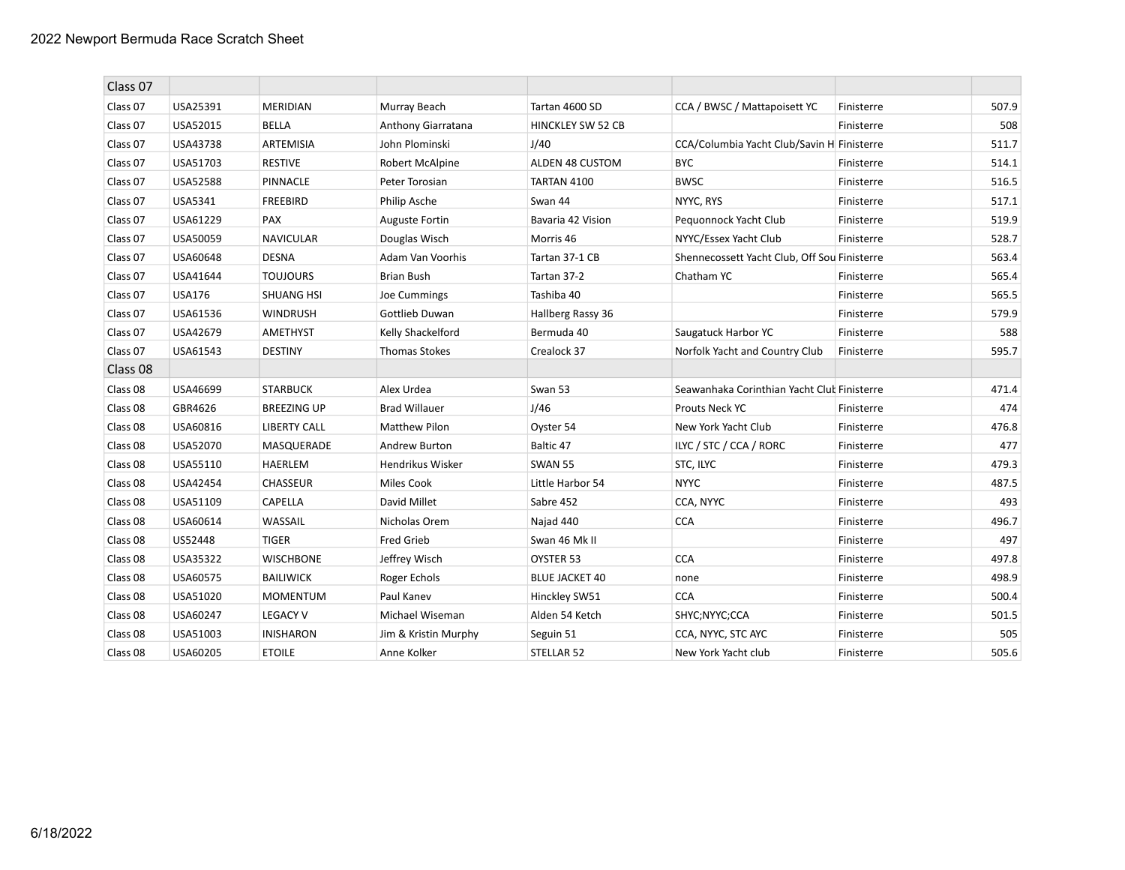| Class 07 |               |                     |                       |                          |                                              |            |       |
|----------|---------------|---------------------|-----------------------|--------------------------|----------------------------------------------|------------|-------|
| Class 07 | USA25391      | <b>MERIDIAN</b>     | Murray Beach          | Tartan 4600 SD           | CCA / BWSC / Mattapoisett YC                 | Finisterre | 507.9 |
| Class 07 | USA52015      | <b>BELLA</b>        | Anthony Giarratana    | <b>HINCKLEY SW 52 CB</b> |                                              | Finisterre | 508   |
| Class 07 | USA43738      | ARTEMISIA           | John Plominski        | J/40                     | CCA/Columbia Yacht Club/Savin H Finisterre   |            | 511.7 |
| Class 07 | USA51703      | <b>RESTIVE</b>      | Robert McAlpine       | ALDEN 48 CUSTOM          | <b>BYC</b>                                   | Finisterre | 514.1 |
| Class 07 | USA52588      | PINNACLE            | Peter Torosian        | TARTAN 4100              | <b>BWSC</b>                                  | Finisterre | 516.5 |
| Class 07 | USA5341       | <b>FREEBIRD</b>     | Philip Asche          | Swan 44                  | NYYC, RYS                                    | Finisterre | 517.1 |
| Class 07 | USA61229      | PAX                 | <b>Auguste Fortin</b> | Bavaria 42 Vision        | Pequonnock Yacht Club                        | Finisterre | 519.9 |
| Class 07 | USA50059      | <b>NAVICULAR</b>    | Douglas Wisch         | Morris 46                | NYYC/Essex Yacht Club                        | Finisterre | 528.7 |
| Class 07 | USA60648      | <b>DESNA</b>        | Adam Van Voorhis      | Tartan 37-1 CB           | Shennecossett Yacht Club, Off Sou Finisterre |            | 563.4 |
| Class 07 | USA41644      | <b>TOUJOURS</b>     | <b>Brian Bush</b>     | Tartan 37-2              | Chatham YC                                   | Finisterre | 565.4 |
| Class 07 | <b>USA176</b> | <b>SHUANG HSI</b>   | Joe Cummings          | Tashiba 40               |                                              | Finisterre | 565.5 |
| Class 07 | USA61536      | <b>WINDRUSH</b>     | Gottlieb Duwan        | Hallberg Rassy 36        |                                              | Finisterre | 579.9 |
| Class 07 | USA42679      | <b>AMETHYST</b>     | Kelly Shackelford     | Bermuda 40               | Saugatuck Harbor YC                          | Finisterre | 588   |
| Class 07 | USA61543      | <b>DESTINY</b>      | <b>Thomas Stokes</b>  | Crealock 37              | Norfolk Yacht and Country Club               | Finisterre | 595.7 |
| Class 08 |               |                     |                       |                          |                                              |            |       |
| Class 08 | USA46699      | <b>STARBUCK</b>     | Alex Urdea            | Swan 53                  | Seawanhaka Corinthian Yacht Clut Finisterre  |            | 471.4 |
| Class 08 | GBR4626       | <b>BREEZING UP</b>  | <b>Brad Willauer</b>  | J/46                     | Prouts Neck YC                               | Finisterre | 474   |
| Class 08 | USA60816      | <b>LIBERTY CALL</b> | <b>Matthew Pilon</b>  | Oyster 54                | New York Yacht Club                          | Finisterre | 476.8 |
| Class 08 | USA52070      | MASQUERADE          | Andrew Burton         | Baltic 47                | ILYC / STC / CCA / RORC                      | Finisterre | 477   |
| Class 08 | USA55110      | HAERLEM             | Hendrikus Wisker      | <b>SWAN 55</b>           | STC, ILYC                                    | Finisterre | 479.3 |
| Class 08 | USA42454      | <b>CHASSEUR</b>     | <b>Miles Cook</b>     | Little Harbor 54         | <b>NYYC</b>                                  | Finisterre | 487.5 |
| Class 08 | USA51109      | CAPELLA             | David Millet          | Sabre 452                | CCA, NYYC                                    | Finisterre | 493   |
| Class 08 | USA60614      | WASSAIL             | Nicholas Orem         | Najad 440                | <b>CCA</b>                                   | Finisterre | 496.7 |
| Class 08 | US52448       | <b>TIGER</b>        | <b>Fred Grieb</b>     | Swan 46 Mk II            |                                              | Finisterre | 497   |
| Class 08 | USA35322      | <b>WISCHBONE</b>    | Jeffrey Wisch         | OYSTER 53                | <b>CCA</b>                                   | Finisterre | 497.8 |
| Class 08 | USA60575      | <b>BAILIWICK</b>    | Roger Echols          | <b>BLUE JACKET 40</b>    | none                                         | Finisterre | 498.9 |
| Class 08 | USA51020      | <b>MOMENTUM</b>     | Paul Kanev            | Hinckley SW51            | <b>CCA</b>                                   | Finisterre | 500.4 |
| Class 08 | USA60247      | <b>LEGACY V</b>     | Michael Wiseman       | Alden 54 Ketch           | SHYC;NYYC;CCA                                | Finisterre | 501.5 |
| Class 08 | USA51003      | <b>INISHARON</b>    | Jim & Kristin Murphy  | Seguin 51                | CCA, NYYC, STC AYC                           | Finisterre | 505   |
| Class 08 | USA60205      | <b>ETOILE</b>       | Anne Kolker           | STELLAR 52               | New York Yacht club                          | Finisterre | 505.6 |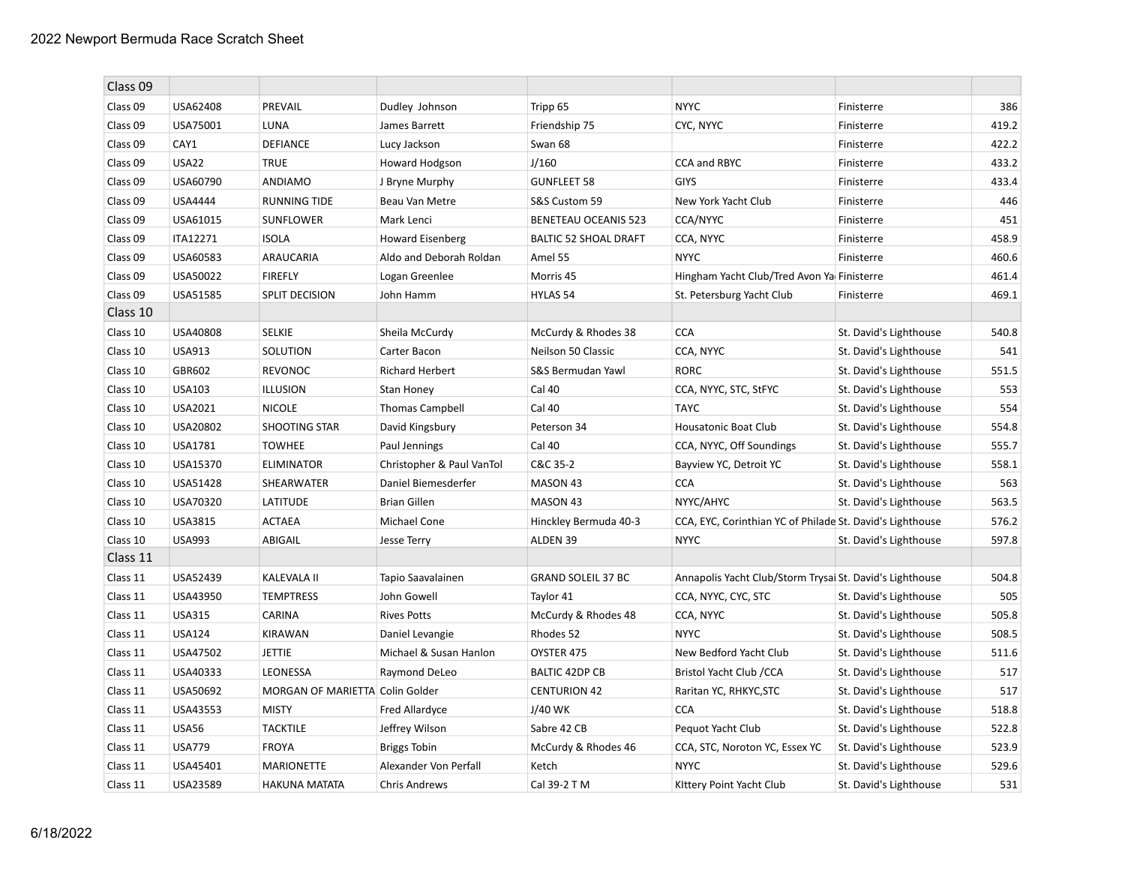| Class 09 |               |                                 |                           |                              |                                                           |                        |       |
|----------|---------------|---------------------------------|---------------------------|------------------------------|-----------------------------------------------------------|------------------------|-------|
| Class 09 | USA62408      | PREVAIL                         | Dudley Johnson            | Tripp 65                     | <b>NYYC</b>                                               | Finisterre             | 386   |
| Class 09 | USA75001      | LUNA                            | James Barrett             | Friendship 75                | CYC, NYYC                                                 | Finisterre             | 419.2 |
| Class 09 | CAY1          | <b>DEFIANCE</b>                 | Lucy Jackson              | Swan 68                      |                                                           | Finisterre             | 422.2 |
| Class 09 | <b>USA22</b>  | <b>TRUE</b>                     | Howard Hodgson            | J/160                        | CCA and RBYC                                              | Finisterre             | 433.2 |
| Class 09 | USA60790      | ANDIAMO                         | J Bryne Murphy            | <b>GUNFLEET 58</b>           | <b>GIYS</b>                                               | Finisterre             | 433.4 |
| Class 09 | USA4444       | <b>RUNNING TIDE</b>             | Beau Van Metre            | S&S Custom 59                | New York Yacht Club                                       | Finisterre             | 446   |
| Class 09 | USA61015      | <b>SUNFLOWER</b>                | Mark Lenci                | <b>BENETEAU OCEANIS 523</b>  | <b>CCA/NYYC</b>                                           | Finisterre             | 451   |
| Class 09 | ITA12271      | <b>ISOLA</b>                    | <b>Howard Eisenberg</b>   | <b>BALTIC 52 SHOAL DRAFT</b> | CCA, NYYC                                                 | Finisterre             | 458.9 |
| Class 09 | USA60583      | ARAUCARIA                       | Aldo and Deborah Roldan   | Amel 55                      | <b>NYYC</b>                                               | Finisterre             | 460.6 |
| Class 09 | USA50022      | <b>FIREFLY</b>                  | Logan Greenlee            | Morris 45                    | Hingham Yacht Club/Tred Avon Ya Finisterre                |                        | 461.4 |
| Class 09 | USA51585      | SPLIT DECISION                  | John Hamm                 | HYLAS 54                     | St. Petersburg Yacht Club                                 | Finisterre             | 469.1 |
| Class 10 |               |                                 |                           |                              |                                                           |                        |       |
| Class 10 | USA40808      | <b>SELKIE</b>                   | Sheila McCurdy            | McCurdy & Rhodes 38          | <b>CCA</b>                                                | St. David's Lighthouse | 540.8 |
| Class 10 | <b>USA913</b> | SOLUTION                        | Carter Bacon              | Neilson 50 Classic           | CCA, NYYC                                                 | St. David's Lighthouse | 541   |
| Class 10 | GBR602        | <b>REVONOC</b>                  | <b>Richard Herbert</b>    | S&S Bermudan Yawl            | <b>RORC</b>                                               | St. David's Lighthouse | 551.5 |
| Class 10 | USA103        | <b>ILLUSION</b>                 | Stan Honey                | Cal 40                       | CCA, NYYC, STC, StFYC                                     | St. David's Lighthouse | 553   |
| Class 10 | USA2021       | <b>NICOLE</b>                   | Thomas Campbell           | Cal 40                       | <b>TAYC</b>                                               | St. David's Lighthouse | 554   |
| Class 10 | USA20802      | <b>SHOOTING STAR</b>            | David Kingsbury           | Peterson 34                  | Housatonic Boat Club                                      | St. David's Lighthouse | 554.8 |
| Class 10 | USA1781       | <b>TOWHEE</b>                   | Paul Jennings             | Cal 40                       | CCA, NYYC, Off Soundings                                  | St. David's Lighthouse | 555.7 |
| Class 10 | USA15370      | <b>ELIMINATOR</b>               | Christopher & Paul VanTol | C&C 35-2                     | Bayview YC, Detroit YC                                    | St. David's Lighthouse | 558.1 |
| Class 10 | USA51428      | SHEARWATER                      | Daniel Biemesderfer       | MASON 43                     | <b>CCA</b>                                                | St. David's Lighthouse | 563   |
| Class 10 | USA70320      | LATITUDE                        | <b>Brian Gillen</b>       | MASON 43                     | NYYC/AHYC                                                 | St. David's Lighthouse | 563.5 |
| Class 10 | USA3815       | <b>ACTAEA</b>                   | Michael Cone              | Hinckley Bermuda 40-3        | CCA, EYC, Corinthian YC of Philade St. David's Lighthouse |                        | 576.2 |
| Class 10 | <b>USA993</b> | ABIGAIL                         | <b>Jesse Terry</b>        | ALDEN 39                     | <b>NYYC</b>                                               | St. David's Lighthouse | 597.8 |
| Class 11 |               |                                 |                           |                              |                                                           |                        |       |
| Class 11 | USA52439      | <b>KALEVALA II</b>              | Tapio Saavalainen         | <b>GRAND SOLEIL 37 BC</b>    | Annapolis Yacht Club/Storm Trysai St. David's Lighthouse  |                        | 504.8 |
| Class 11 | USA43950      | <b>TEMPTRESS</b>                | John Gowell               | Taylor 41                    | CCA, NYYC, CYC, STC                                       | St. David's Lighthouse | 505   |
| Class 11 | <b>USA315</b> | CARINA                          | <b>Rives Potts</b>        | McCurdy & Rhodes 48          | CCA, NYYC                                                 | St. David's Lighthouse | 505.8 |
| Class 11 | <b>USA124</b> | <b>KIRAWAN</b>                  | Daniel Levangie           | Rhodes 52                    | <b>NYYC</b>                                               | St. David's Lighthouse | 508.5 |
| Class 11 | USA47502      | <b>JETTIE</b>                   | Michael & Susan Hanlon    | OYSTER 475                   | New Bedford Yacht Club                                    | St. David's Lighthouse | 511.6 |
| Class 11 | USA40333      | LEONESSA                        | Raymond DeLeo             | <b>BALTIC 42DP CB</b>        | Bristol Yacht Club / CCA                                  | St. David's Lighthouse | 517   |
| Class 11 | USA50692      | MORGAN OF MARIETTA Colin Golder |                           | <b>CENTURION 42</b>          | Raritan YC, RHKYC, STC                                    | St. David's Lighthouse | 517   |
| Class 11 | USA43553      | <b>MISTY</b>                    | Fred Allardyce            | J/40 WK                      | <b>CCA</b>                                                | St. David's Lighthouse | 518.8 |
| Class 11 | <b>USA56</b>  | <b>TACKTILE</b>                 | Jeffrey Wilson            | Sabre 42 CB                  | Pequot Yacht Club                                         | St. David's Lighthouse | 522.8 |
| Class 11 | <b>USA779</b> | <b>FROYA</b>                    | <b>Briggs Tobin</b>       | McCurdy & Rhodes 46          | CCA, STC, Noroton YC, Essex YC                            | St. David's Lighthouse | 523.9 |
| Class 11 | USA45401      | <b>MARIONETTE</b>               | Alexander Von Perfall     | Ketch                        | <b>NYYC</b>                                               | St. David's Lighthouse | 529.6 |
| Class 11 | USA23589      | <b>HAKUNA MATATA</b>            | <b>Chris Andrews</b>      | Cal 39-2 T M                 | Kittery Point Yacht Club                                  | St. David's Lighthouse | 531   |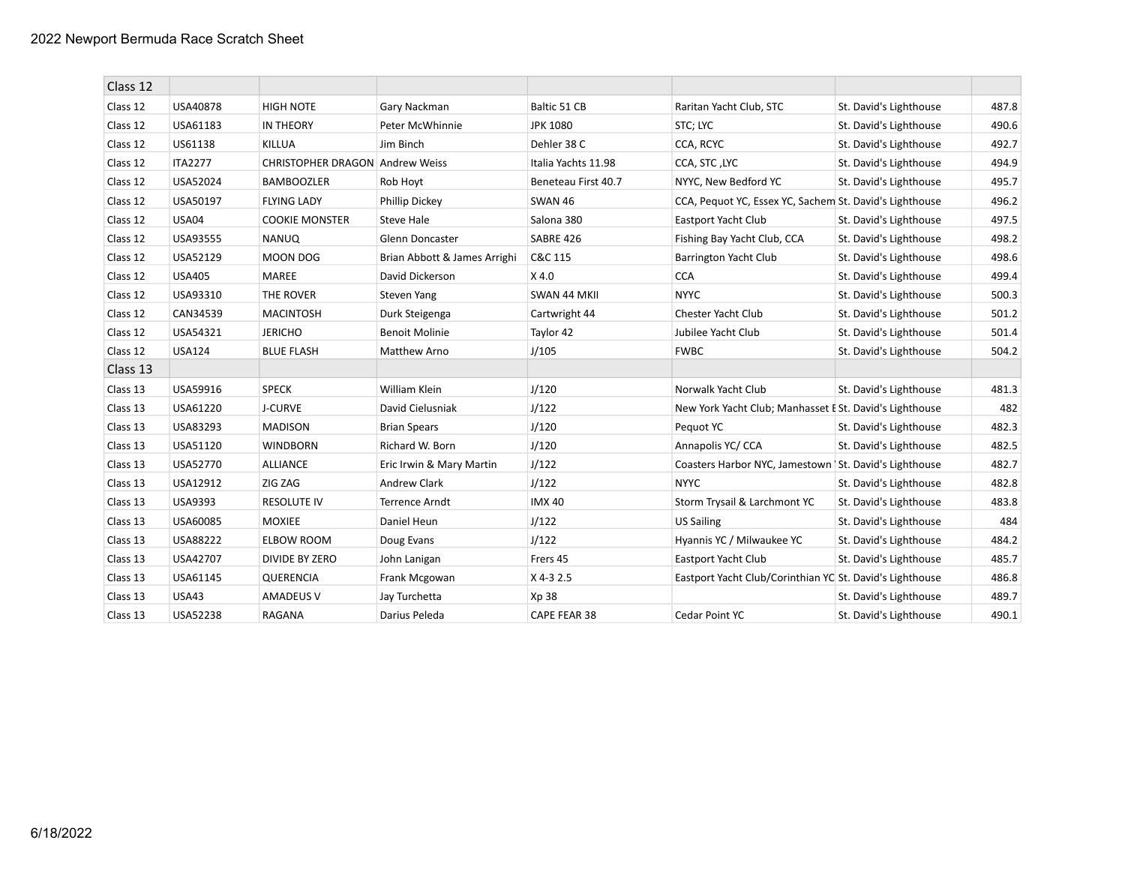| Class 12 |                |                                        |                              |                     |                                                          |                        |       |
|----------|----------------|----------------------------------------|------------------------------|---------------------|----------------------------------------------------------|------------------------|-------|
| Class 12 | USA40878       | <b>HIGH NOTE</b>                       | Gary Nackman                 | Baltic 51 CB        | Raritan Yacht Club, STC                                  | St. David's Lighthouse | 487.8 |
| Class 12 | USA61183       | <b>IN THEORY</b>                       | Peter McWhinnie              | <b>JPK 1080</b>     | STC; LYC                                                 | St. David's Lighthouse | 490.6 |
| Class 12 | US61138        | <b>KILLUA</b>                          | Jim Binch                    | Dehler 38 C         | CCA, RCYC                                                | St. David's Lighthouse | 492.7 |
| Class 12 | <b>ITA2277</b> | <b>CHRISTOPHER DRAGON Andrew Weiss</b> |                              | Italia Yachts 11.98 | CCA, STC, LYC                                            | St. David's Lighthouse | 494.9 |
| Class 12 | USA52024       | <b>BAMBOOZLER</b>                      | Rob Hoyt                     | Beneteau First 40.7 | NYYC, New Bedford YC                                     | St. David's Lighthouse | 495.7 |
| Class 12 | USA50197       | <b>FLYING LADY</b>                     | Phillip Dickey               | <b>SWAN 46</b>      | CCA, Pequot YC, Essex YC, Sachem St. David's Lighthouse  |                        | 496.2 |
| Class 12 | USA04          | <b>COOKIE MONSTER</b>                  | Steve Hale                   | Salona 380          | Eastport Yacht Club                                      | St. David's Lighthouse | 497.5 |
| Class 12 | USA93555       | <b>NANUQ</b>                           | <b>Glenn Doncaster</b>       | SABRE 426           | Fishing Bay Yacht Club, CCA                              | St. David's Lighthouse | 498.2 |
| Class 12 | USA52129       | <b>MOON DOG</b>                        | Brian Abbott & James Arrighi | C&C 115             | Barrington Yacht Club                                    | St. David's Lighthouse | 498.6 |
| Class 12 | <b>USA405</b>  | MAREE                                  | David Dickerson              | $X$ 4.0             | <b>CCA</b>                                               | St. David's Lighthouse | 499.4 |
| Class 12 | USA93310       | THE ROVER                              | Steven Yang                  | SWAN 44 MKII        | <b>NYYC</b>                                              | St. David's Lighthouse | 500.3 |
| Class 12 | CAN34539       | <b>MACINTOSH</b>                       | Durk Steigenga               | Cartwright 44       | Chester Yacht Club                                       | St. David's Lighthouse | 501.2 |
| Class 12 | USA54321       | <b>JERICHO</b>                         | <b>Benoit Molinie</b>        | Taylor 42           | Jubilee Yacht Club                                       | St. David's Lighthouse | 501.4 |
| Class 12 | <b>USA124</b>  | <b>BLUE FLASH</b>                      | Matthew Arno                 | J/105               | <b>FWBC</b>                                              | St. David's Lighthouse | 504.2 |
| Class 13 |                |                                        |                              |                     |                                                          |                        |       |
| Class 13 | USA59916       | <b>SPECK</b>                           | William Klein                | J/120               | Norwalk Yacht Club                                       | St. David's Lighthouse | 481.3 |
| Class 13 | USA61220       | J-CURVE                                | David Cielusniak             | J/122               | New York Yacht Club; Manhasset E St. David's Lighthouse  |                        | 482   |
| Class 13 | USA83293       | <b>MADISON</b>                         | <b>Brian Spears</b>          | J/120               | Pequot YC                                                | St. David's Lighthouse | 482.3 |
| Class 13 | USA51120       | <b>WINDBORN</b>                        | Richard W. Born              | J/120               | Annapolis YC/ CCA                                        | St. David's Lighthouse | 482.5 |
| Class 13 | USA52770       | <b>ALLIANCE</b>                        | Eric Irwin & Mary Martin     | J/122               | Coasters Harbor NYC, Jamestown   St. David's Lighthouse  |                        | 482.7 |
| Class 13 | USA12912       | ZIG ZAG                                | Andrew Clark                 | J/122               | <b>NYYC</b>                                              | St. David's Lighthouse | 482.8 |
| Class 13 | USA9393        | <b>RESOLUTE IV</b>                     | Terrence Arndt               | <b>IMX40</b>        | Storm Trysail & Larchmont YC                             | St. David's Lighthouse | 483.8 |
| Class 13 | USA60085       | <b>MOXIEE</b>                          | Daniel Heun                  | J/122               | <b>US Sailing</b>                                        | St. David's Lighthouse | 484   |
| Class 13 | USA88222       | <b>ELBOW ROOM</b>                      | Doug Evans                   | J/122               | Hyannis YC / Milwaukee YC                                | St. David's Lighthouse | 484.2 |
| Class 13 | USA42707       | <b>DIVIDE BY ZERO</b>                  | John Lanigan                 | Frers 45            | Eastport Yacht Club                                      | St. David's Lighthouse | 485.7 |
| Class 13 | USA61145       | QUERENCIA                              | Frank Mcgowan                | X 4-3 2.5           | Eastport Yacht Club/Corinthian YC St. David's Lighthouse |                        | 486.8 |
| Class 13 | <b>USA43</b>   | <b>AMADEUS V</b>                       | Jay Turchetta                | Xp 38               |                                                          | St. David's Lighthouse | 489.7 |
| Class 13 | USA52238       | RAGANA                                 | Darius Peleda                | CAPE FEAR 38        | Cedar Point YC                                           | St. David's Lighthouse | 490.1 |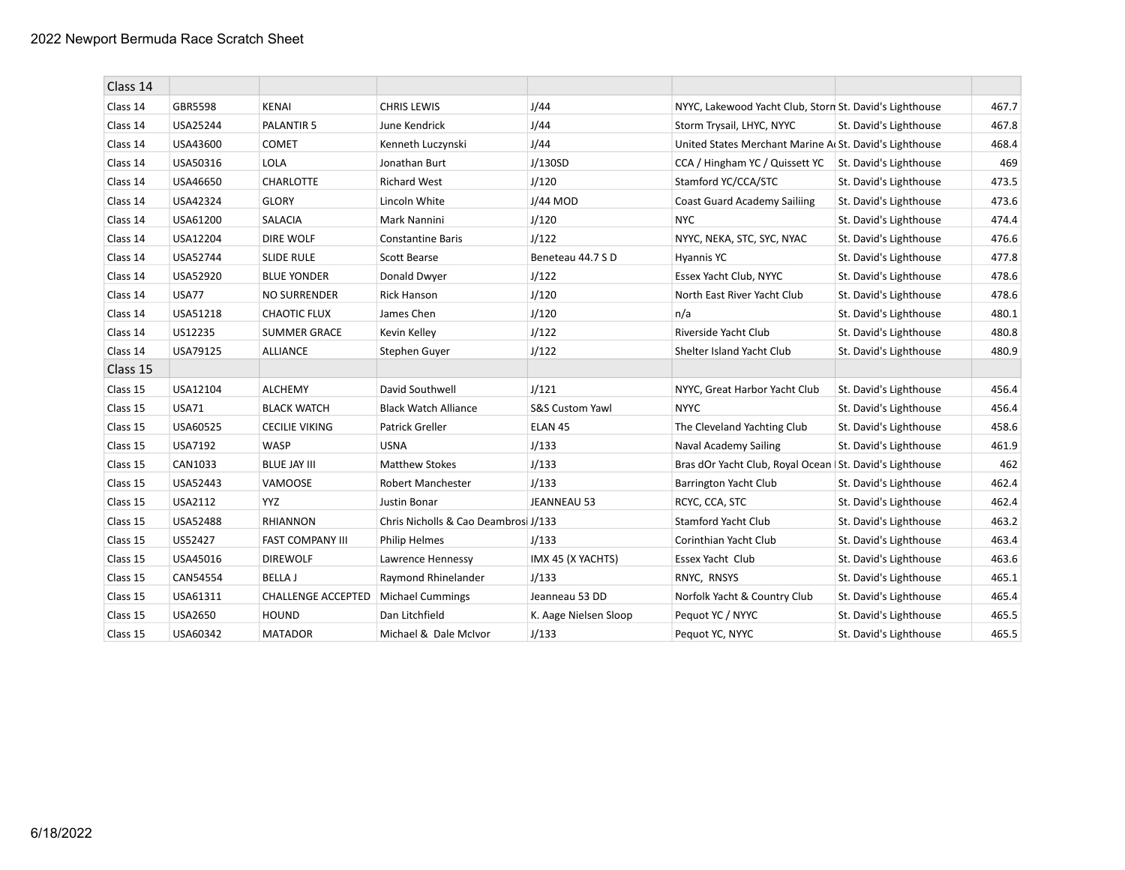| Class 14 |                |                           |                                      |                            |                                                           |                        |       |
|----------|----------------|---------------------------|--------------------------------------|----------------------------|-----------------------------------------------------------|------------------------|-------|
| Class 14 | GBR5598        | <b>KENAI</b>              | <b>CHRIS LEWIS</b>                   | J/44                       | NYYC, Lakewood Yacht Club, Storn St. David's Lighthouse   |                        | 467.7 |
| Class 14 | USA25244       | PALANTIR 5                | June Kendrick                        | J/44                       | Storm Trysail, LHYC, NYYC                                 | St. David's Lighthouse | 467.8 |
| Class 14 | USA43600       | <b>COMET</b>              | Kenneth Luczynski                    | J/44                       | United States Merchant Marine A. St. David's Lighthouse   |                        | 468.4 |
| Class 14 | USA50316       | <b>LOLA</b>               | Jonathan Burt                        | J/130SD                    | CCA / Hingham YC / Quissett YC                            | St. David's Lighthouse | 469   |
| Class 14 | USA46650       | CHARLOTTE                 | <b>Richard West</b>                  | J/120                      | Stamford YC/CCA/STC                                       | St. David's Lighthouse | 473.5 |
| Class 14 | USA42324       | <b>GLORY</b>              | Lincoln White                        | J/44 MOD                   | <b>Coast Guard Academy Sailiing</b>                       | St. David's Lighthouse | 473.6 |
| Class 14 | USA61200       | <b>SALACIA</b>            | Mark Nannini                         | J/120                      | <b>NYC</b>                                                | St. David's Lighthouse | 474.4 |
| Class 14 | USA12204       | <b>DIRE WOLF</b>          | <b>Constantine Baris</b>             | J/122                      | NYYC, NEKA, STC, SYC, NYAC                                | St. David's Lighthouse | 476.6 |
| Class 14 | USA52744       | <b>SLIDE RULE</b>         | <b>Scott Bearse</b>                  | Beneteau 44.7 SD           | <b>Hyannis YC</b>                                         | St. David's Lighthouse | 477.8 |
| Class 14 | USA52920       | <b>BLUE YONDER</b>        | Donald Dwyer                         | J/122                      | Essex Yacht Club, NYYC                                    | St. David's Lighthouse | 478.6 |
| Class 14 | <b>USA77</b>   | <b>NO SURRENDER</b>       | <b>Rick Hanson</b>                   | J/120                      | North East River Yacht Club                               | St. David's Lighthouse | 478.6 |
| Class 14 | USA51218       | <b>CHAOTIC FLUX</b>       | James Chen                           | J/120                      | n/a                                                       | St. David's Lighthouse | 480.1 |
| Class 14 | US12235        | <b>SUMMER GRACE</b>       | Kevin Kelley                         | J/122                      | Riverside Yacht Club                                      | St. David's Lighthouse | 480.8 |
| Class 14 | USA79125       | <b>ALLIANCE</b>           | Stephen Guyer                        | J/122                      | Shelter Island Yacht Club                                 | St. David's Lighthouse | 480.9 |
| Class 15 |                |                           |                                      |                            |                                                           |                        |       |
| Class 15 | USA12104       | <b>ALCHEMY</b>            | David Southwell                      | J/121                      | NYYC, Great Harbor Yacht Club                             | St. David's Lighthouse | 456.4 |
| Class 15 | <b>USA71</b>   | <b>BLACK WATCH</b>        | <b>Black Watch Alliance</b>          | <b>S&amp;S Custom Yawl</b> | <b>NYYC</b>                                               | St. David's Lighthouse | 456.4 |
| Class 15 | USA60525       | <b>CECILIE VIKING</b>     | Patrick Greller                      | ELAN <sub>45</sub>         | The Cleveland Yachting Club                               | St. David's Lighthouse | 458.6 |
| Class 15 | USA7192        | WASP                      | <b>USNA</b>                          | J/133                      | Naval Academy Sailing                                     | St. David's Lighthouse | 461.9 |
| Class 15 | CAN1033        | <b>BLUE JAY III</b>       | <b>Matthew Stokes</b>                | J/133                      | Bras dOr Yacht Club, Royal Ocean   St. David's Lighthouse |                        | 462   |
| Class 15 | USA52443       | VAMOOSE                   | Robert Manchester                    | J/133                      | Barrington Yacht Club                                     | St. David's Lighthouse | 462.4 |
| Class 15 | USA2112        | YYZ.                      | <b>Justin Bonar</b>                  | JEANNEAU 53                | RCYC, CCA, STC                                            | St. David's Lighthouse | 462.4 |
| Class 15 | USA52488       | <b>RHIANNON</b>           | Chris Nicholls & Cao Deambrosi J/133 |                            | Stamford Yacht Club                                       | St. David's Lighthouse | 463.2 |
| Class 15 | US52427        | FAST COMPANY III          | <b>Philip Helmes</b>                 | J/133                      | Corinthian Yacht Club                                     | St. David's Lighthouse | 463.4 |
| Class 15 | USA45016       | <b>DIREWOLF</b>           | Lawrence Hennessy                    | IMX 45 (X YACHTS)          | Essex Yacht Club                                          | St. David's Lighthouse | 463.6 |
| Class 15 | CAN54554       | <b>BELLA J</b>            | Raymond Rhinelander                  | J/133                      | RNYC, RNSYS                                               | St. David's Lighthouse | 465.1 |
| Class 15 | USA61311       | <b>CHALLENGE ACCEPTED</b> | <b>Michael Cummings</b>              | Jeanneau 53 DD             | Norfolk Yacht & Country Club                              | St. David's Lighthouse | 465.4 |
| Class 15 | <b>USA2650</b> | <b>HOUND</b>              | Dan Litchfield                       | K. Aage Nielsen Sloop      | Pequot YC / NYYC                                          | St. David's Lighthouse | 465.5 |
| Class 15 | USA60342       | <b>MATADOR</b>            | Michael & Dale McIvor                | J/133                      | Pequot YC, NYYC                                           | St. David's Lighthouse | 465.5 |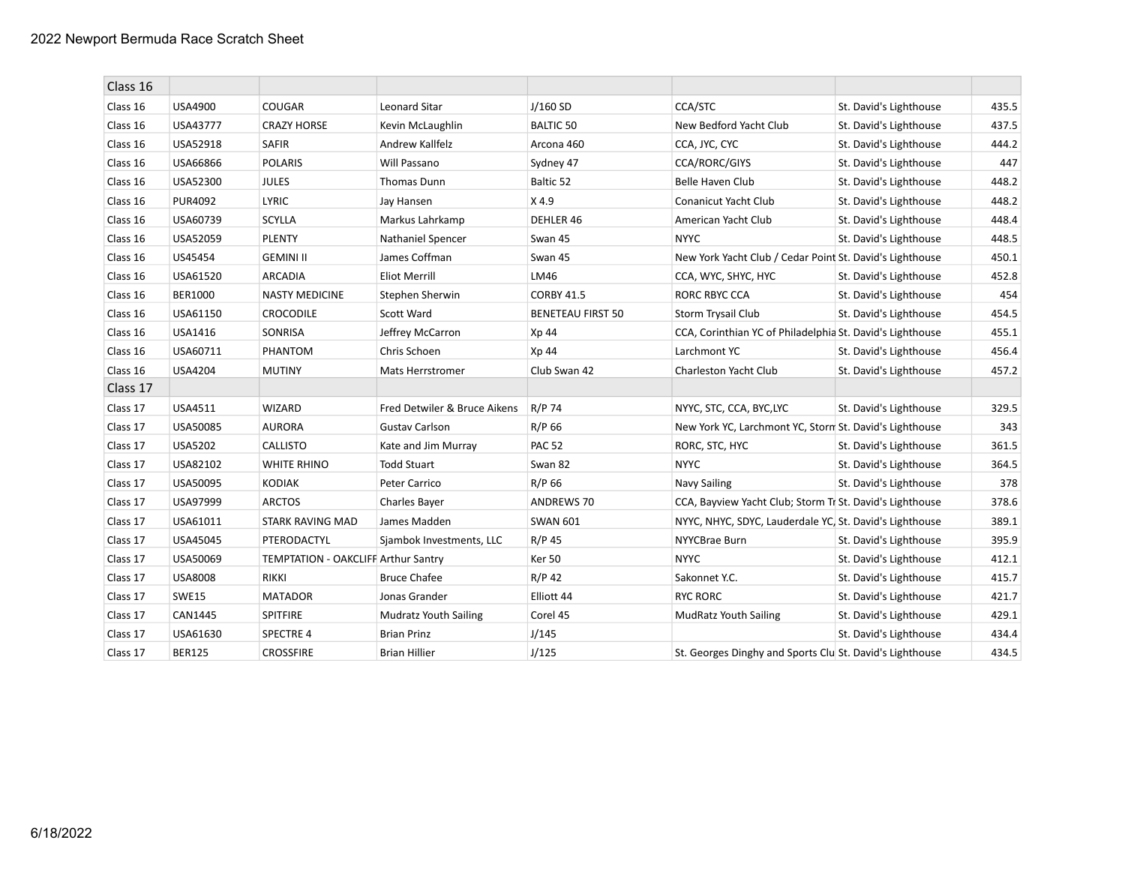| Class 16 |                |                                     |                              |                          |                                                           |                        |       |
|----------|----------------|-------------------------------------|------------------------------|--------------------------|-----------------------------------------------------------|------------------------|-------|
| Class 16 | USA4900        | <b>COUGAR</b>                       | <b>Leonard Sitar</b>         | $J/160$ SD               | CCA/STC                                                   | St. David's Lighthouse | 435.5 |
| Class 16 | USA43777       | <b>CRAZY HORSE</b>                  | Kevin McLaughlin             | <b>BALTIC 50</b>         | New Bedford Yacht Club                                    | St. David's Lighthouse | 437.5 |
| Class 16 | USA52918       | <b>SAFIR</b>                        | Andrew Kallfelz              | Arcona 460               | CCA, JYC, CYC                                             | St. David's Lighthouse | 444.2 |
| Class 16 | USA66866       | <b>POLARIS</b>                      | Will Passano                 | Sydney 47                | CCA/RORC/GIYS                                             | St. David's Lighthouse | 447   |
| Class 16 | USA52300       | <b>JULES</b>                        | <b>Thomas Dunn</b>           | Baltic 52                | Belle Haven Club                                          | St. David's Lighthouse | 448.2 |
| Class 16 | PUR4092        | <b>LYRIC</b>                        | Jay Hansen                   | X 4.9                    | Conanicut Yacht Club                                      | St. David's Lighthouse | 448.2 |
| Class 16 | USA60739       | <b>SCYLLA</b>                       | Markus Lahrkamp              | DEHLER 46                | American Yacht Club                                       | St. David's Lighthouse | 448.4 |
| Class 16 | USA52059       | <b>PLENTY</b>                       | Nathaniel Spencer            | Swan 45                  | <b>NYYC</b>                                               | St. David's Lighthouse | 448.5 |
| Class 16 | US45454        | <b>GEMINI II</b>                    | James Coffman                | Swan 45                  | New York Yacht Club / Cedar Point St. David's Lighthouse  |                        | 450.1 |
| Class 16 | USA61520       | <b>ARCADIA</b>                      | <b>Eliot Merrill</b>         | LM46                     | CCA, WYC, SHYC, HYC                                       | St. David's Lighthouse | 452.8 |
| Class 16 | <b>BER1000</b> | <b>NASTY MEDICINE</b>               | Stephen Sherwin              | <b>CORBY 41.5</b>        | RORC RBYC CCA                                             | St. David's Lighthouse | 454   |
| Class 16 | USA61150       | <b>CROCODILE</b>                    | Scott Ward                   | <b>BENETEAU FIRST 50</b> | Storm Trysail Club                                        | St. David's Lighthouse | 454.5 |
| Class 16 | USA1416        | SONRISA                             | Jeffrey McCarron             | Xp 44                    | CCA, Corinthian YC of Philadelphia St. David's Lighthouse |                        | 455.1 |
| Class 16 | USA60711       | PHANTOM                             | Chris Schoen                 | Xp 44                    | Larchmont YC                                              | St. David's Lighthouse | 456.4 |
| Class 16 | <b>USA4204</b> | <b>MUTINY</b>                       | <b>Mats Herrstromer</b>      | Club Swan 42             | Charleston Yacht Club                                     | St. David's Lighthouse | 457.2 |
| Class 17 |                |                                     |                              |                          |                                                           |                        |       |
| Class 17 | USA4511        | <b>WIZARD</b>                       | Fred Detwiler & Bruce Aikens | R/P 74                   | NYYC, STC, CCA, BYC,LYC                                   | St. David's Lighthouse | 329.5 |
| Class 17 | USA50085       | <b>AURORA</b>                       | <b>Gustav Carlson</b>        | R/P 66                   | New York YC, Larchmont YC, Storn St. David's Lighthouse   |                        | 343   |
| Class 17 | USA5202        | <b>CALLISTO</b>                     | Kate and Jim Murray          | <b>PAC 52</b>            | RORC, STC, HYC                                            | St. David's Lighthouse | 361.5 |
| Class 17 | USA82102       | <b>WHITE RHINO</b>                  | <b>Todd Stuart</b>           | Swan 82                  | <b>NYYC</b>                                               | St. David's Lighthouse | 364.5 |
| Class 17 | USA50095       | <b>KODIAK</b>                       | Peter Carrico                | R/P 66                   | Navy Sailing                                              | St. David's Lighthouse | 378   |
| Class 17 | USA97999       | <b>ARCTOS</b>                       | Charles Bayer                | <b>ANDREWS 70</b>        | CCA, Bayview Yacht Club; Storm Tr St. David's Lighthouse  |                        | 378.6 |
| Class 17 | USA61011       | STARK RAVING MAD                    | James Madden                 | <b>SWAN 601</b>          | NYYC, NHYC, SDYC, Lauderdale YC, St. David's Lighthouse   |                        | 389.1 |
| Class 17 | USA45045       | PTERODACTYL                         | Sjambok Investments, LLC     | R/P 45                   | NYYCBrae Burn                                             | St. David's Lighthouse | 395.9 |
| Class 17 | USA50069       | TEMPTATION - OAKCLIFF Arthur Santry |                              | Ker 50                   | <b>NYYC</b>                                               | St. David's Lighthouse | 412.1 |
| Class 17 | <b>USA8008</b> | <b>RIKKI</b>                        | <b>Bruce Chafee</b>          | $R/P$ 42                 | Sakonnet Y.C.                                             | St. David's Lighthouse | 415.7 |
| Class 17 | <b>SWE15</b>   | <b>MATADOR</b>                      | Jonas Grander                | Elliott 44               | <b>RYC RORC</b>                                           | St. David's Lighthouse | 421.7 |
| Class 17 | CAN1445        | <b>SPITFIRE</b>                     | <b>Mudratz Youth Sailing</b> | Corel 45                 | <b>MudRatz Youth Sailing</b>                              | St. David's Lighthouse | 429.1 |
| Class 17 | USA61630       | <b>SPECTRE 4</b>                    | <b>Brian Prinz</b>           | J/145                    |                                                           | St. David's Lighthouse | 434.4 |
| Class 17 | <b>BER125</b>  | <b>CROSSFIRE</b>                    | <b>Brian Hillier</b>         | J/125                    | St. Georges Dinghy and Sports Clu St. David's Lighthouse  |                        | 434.5 |